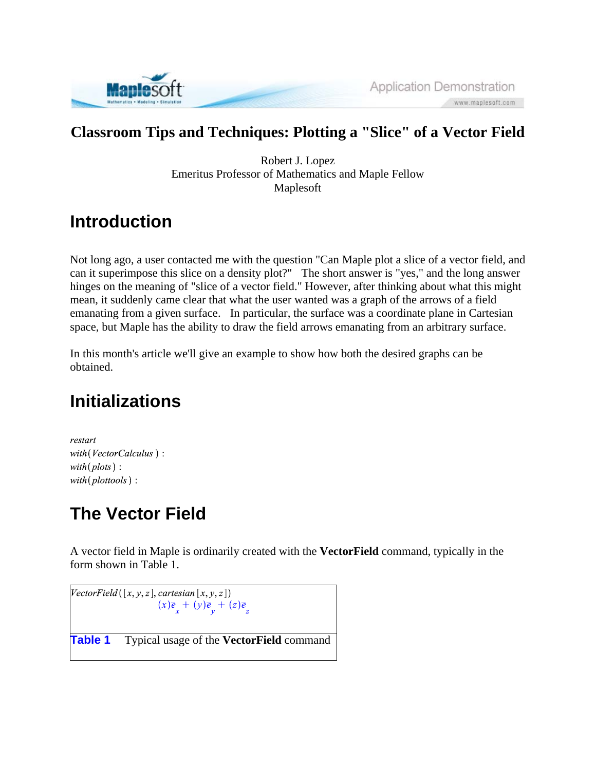

#### **Classroom Tips and Techniques: Plotting a "Slice" of a Vector Field**

Robert J. Lopez Emeritus Professor of Mathematics and Maple Fellow Maplesoft

# **Introduction**

Not long ago, a user contacted me with the question "Can Maple plot a slice of a vector field, and can it superimpose this slice on a density plot?" The short answer is "yes," and the long answer hinges on the meaning of "slice of a vector field." However, after thinking about what this might mean, it suddenly came clear that what the user wanted was a graph of the arrows of a field emanating from a given surface. In particular, the surface was a coordinate plane in Cartesian space, but Maple has the ability to draw the field arrows emanating from an arbitrary surface.

In this month's article we'll give an example to show how both the desired graphs can be obtained.

## **Initializations**

restart with (VectorCalculus): with  $(plots)$ :  $with(photools):$ 

# **The Vector Field**

A vector field in Maple is ordinarily created with the **VectorField** command, typically in the form shown in Table 1.

 $[VectorField([x, y, z], cartesian[x, y, z])$  $(x)\overline{e}_x + (y)\overline{e}_y + (z)\overline{e}_z$ **Table 1** Typical usage of the **VectorField** command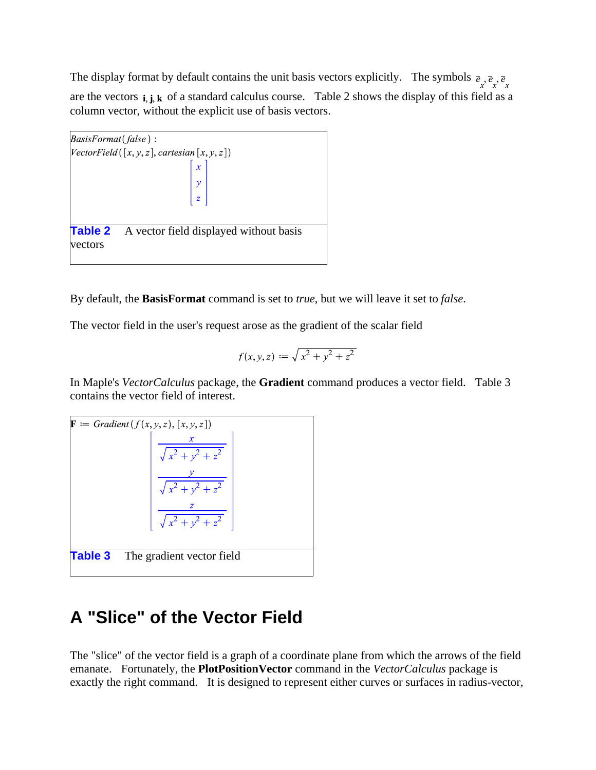The display format by default contains the unit basis vectors explicitly. The symbols  $\overline{e}_x \overline{e}_x \overline{e}_x$ are the vectors  $\mathbf{i}, \mathbf{j}, \mathbf{k}$  of a standard calculus course. Table 2 shows the display of this field as a column vector, without the explicit use of basis vectors.



By default, the **BasisFormat** command is set to *true*, but we will leave it set to *false*.

The vector field in the user's request arose as the gradient of the scalar field

$$
f(x, y, z) := \sqrt{x^2 + y^2 + z^2}
$$

In Maple's *VectorCalculus* package, the **Gradient** command produces a vector field. Table 3 contains the vector field of interest.



### **A "Slice" of the Vector Field**

The "slice" of the vector field is a graph of a coordinate plane from which the arrows of the field emanate. Fortunately, the **PlotPositionVector** command in the *VectorCalculus* package is exactly the right command. It is designed to represent either curves or surfaces in radius-vector,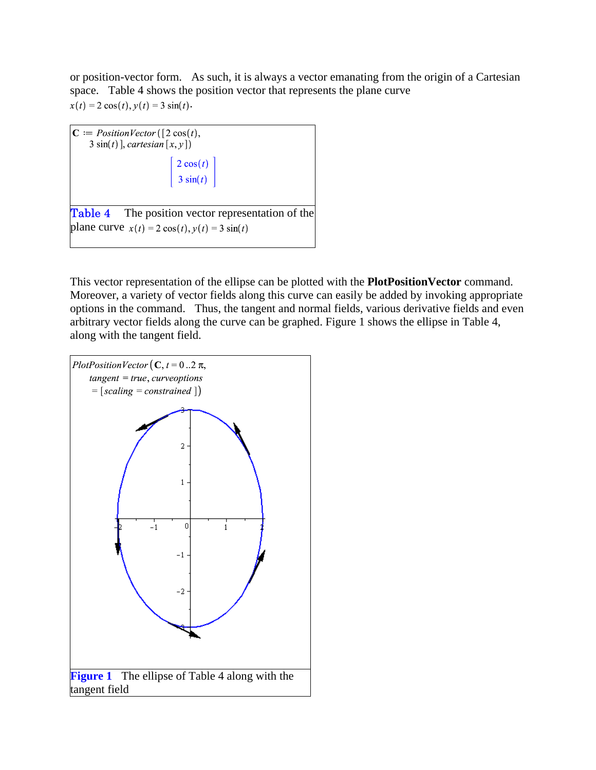or position-vector form. As such, it is always a vector emanating from the origin of a Cartesian space. Table 4 shows the position vector that represents the plane curve  $x(t) = 2 \cos(t), y(t) = 3 \sin(t).$ 



This vector representation of the ellipse can be plotted with the **PlotPositionVector** command. Moreover, a variety of vector fields along this curve can easily be added by invoking appropriate options in the command. Thus, the tangent and normal fields, various derivative fields and even arbitrary vector fields along the curve can be graphed. Figure 1 shows the ellipse in Table 4, along with the tangent field.

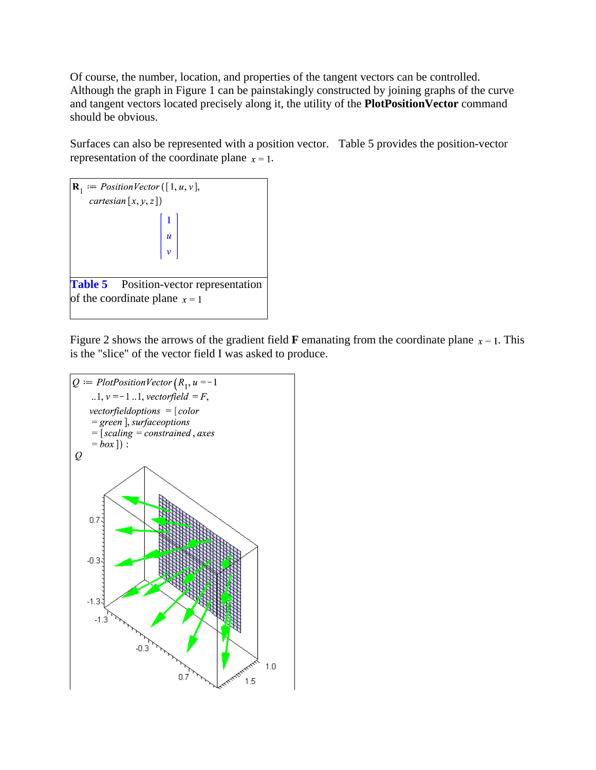Of course, the number, location, and properties of the tangent vectors can be controlled. Although the graph in Figure 1 can be painstakingly constructed by joining graphs of the curve and tangent vectors located precisely along it, the utility of the **PlotPositionVector** command should be obvious.

Surfaces can also be represented with a position vector. Table 5 provides the position-vector representation of the coordinate plane  $x = 1$ .



Figure 2 shows the arrows of the gradient field **F** emanating from the coordinate plane  $x = 1$ . This is the "slice" of the vector field I was asked to produce.

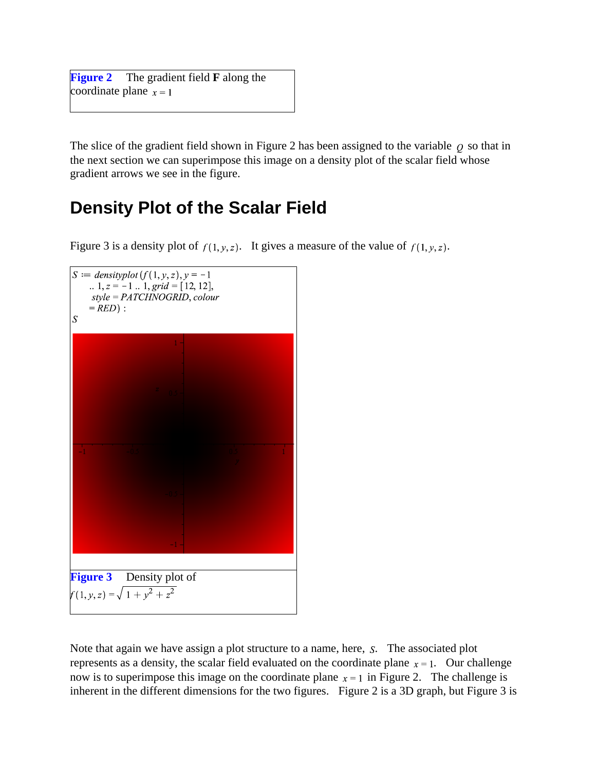**Figure 2** The gradient field **F** along the coordinate plane  $x = 1$ 

The slice of the gradient field shown in Figure 2 has been assigned to the variable  $\rho$  so that in the next section we can superimpose this image on a density plot of the scalar field whose gradient arrows we see in the figure.

### **Density Plot of the Scalar Field**

Figure 3 is a density plot of  $f(1, y, z)$ . It gives a measure of the value of  $f(1, y, z)$ .



Note that again we have assign a plot structure to a name, here,  $S$ . The associated plot represents as a density, the scalar field evaluated on the coordinate plane  $x = 1$ . Our challenge now is to superimpose this image on the coordinate plane  $x = 1$  in Figure 2. The challenge is inherent in the different dimensions for the two figures. Figure 2 is a 3D graph, but Figure 3 is